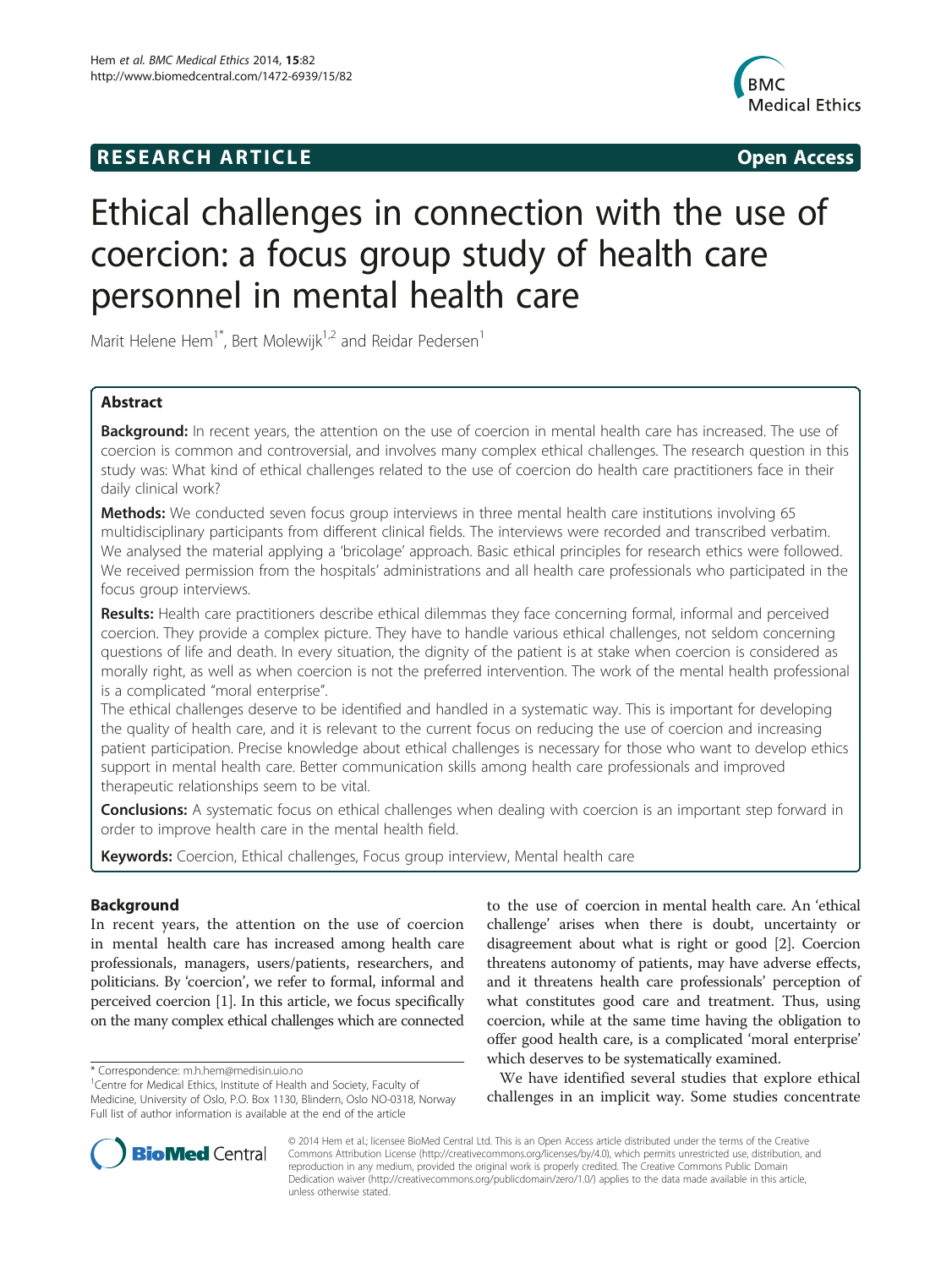## **RESEARCH ARTICLE Example 2018 12:00 Open Access**



# Ethical challenges in connection with the use of coercion: a focus group study of health care personnel in mental health care

Marit Helene Hem<sup>1\*</sup>, Bert Molewijk<sup>1,2</sup> and Reidar Pedersen<sup>1</sup>

## Abstract

Background: In recent years, the attention on the use of coercion in mental health care has increased. The use of coercion is common and controversial, and involves many complex ethical challenges. The research question in this study was: What kind of ethical challenges related to the use of coercion do health care practitioners face in their daily clinical work?

Methods: We conducted seven focus group interviews in three mental health care institutions involving 65 multidisciplinary participants from different clinical fields. The interviews were recorded and transcribed verbatim. We analysed the material applying a 'bricolage' approach. Basic ethical principles for research ethics were followed. We received permission from the hospitals' administrations and all health care professionals who participated in the focus group interviews.

Results: Health care practitioners describe ethical dilemmas they face concerning formal, informal and perceived coercion. They provide a complex picture. They have to handle various ethical challenges, not seldom concerning questions of life and death. In every situation, the dignity of the patient is at stake when coercion is considered as morally right, as well as when coercion is not the preferred intervention. The work of the mental health professional is a complicated "moral enterprise".

The ethical challenges deserve to be identified and handled in a systematic way. This is important for developing the quality of health care, and it is relevant to the current focus on reducing the use of coercion and increasing patient participation. Precise knowledge about ethical challenges is necessary for those who want to develop ethics support in mental health care. Better communication skills among health care professionals and improved therapeutic relationships seem to be vital.

**Conclusions:** A systematic focus on ethical challenges when dealing with coercion is an important step forward in order to improve health care in the mental health field.

Keywords: Coercion, Ethical challenges, Focus group interview, Mental health care

## Background

In recent years, the attention on the use of coercion in mental health care has increased among health care professionals, managers, users/patients, researchers, and politicians. By 'coercion', we refer to formal, informal and perceived coercion [\[1\]](#page-7-0). In this article, we focus specifically on the many complex ethical challenges which are connected

to the use of coercion in mental health care. An 'ethical challenge' arises when there is doubt, uncertainty or disagreement about what is right or good [[2](#page-7-0)]. Coercion threatens autonomy of patients, may have adverse effects, and it threatens health care professionals' perception of what constitutes good care and treatment. Thus, using coercion, while at the same time having the obligation to offer good health care, is a complicated 'moral enterprise' which deserves to be systematically examined.

We have identified several studies that explore ethical challenges in an implicit way. Some studies concentrate



© 2014 Hem et al.; licensee BioMed Central Ltd. This is an Open Access article distributed under the terms of the Creative Commons Attribution License [\(http://creativecommons.org/licenses/by/4.0\)](http://creativecommons.org/licenses/by/4.0), which permits unrestricted use, distribution, and reproduction in any medium, provided the original work is properly credited. The Creative Commons Public Domain Dedication waiver [\(http://creativecommons.org/publicdomain/zero/1.0/](http://creativecommons.org/publicdomain/zero/1.0/)) applies to the data made available in this article, unless otherwise stated.

<sup>\*</sup> Correspondence: [m.h.hem@medisin.uio.no](mailto:m.h.hem@medisin.uio.no) <sup>1</sup>

<sup>&</sup>lt;sup>1</sup> Centre for Medical Ethics, Institute of Health and Society, Faculty of Medicine, University of Oslo, P.O. Box 1130, Blindern, Oslo NO-0318, Norway Full list of author information is available at the end of the article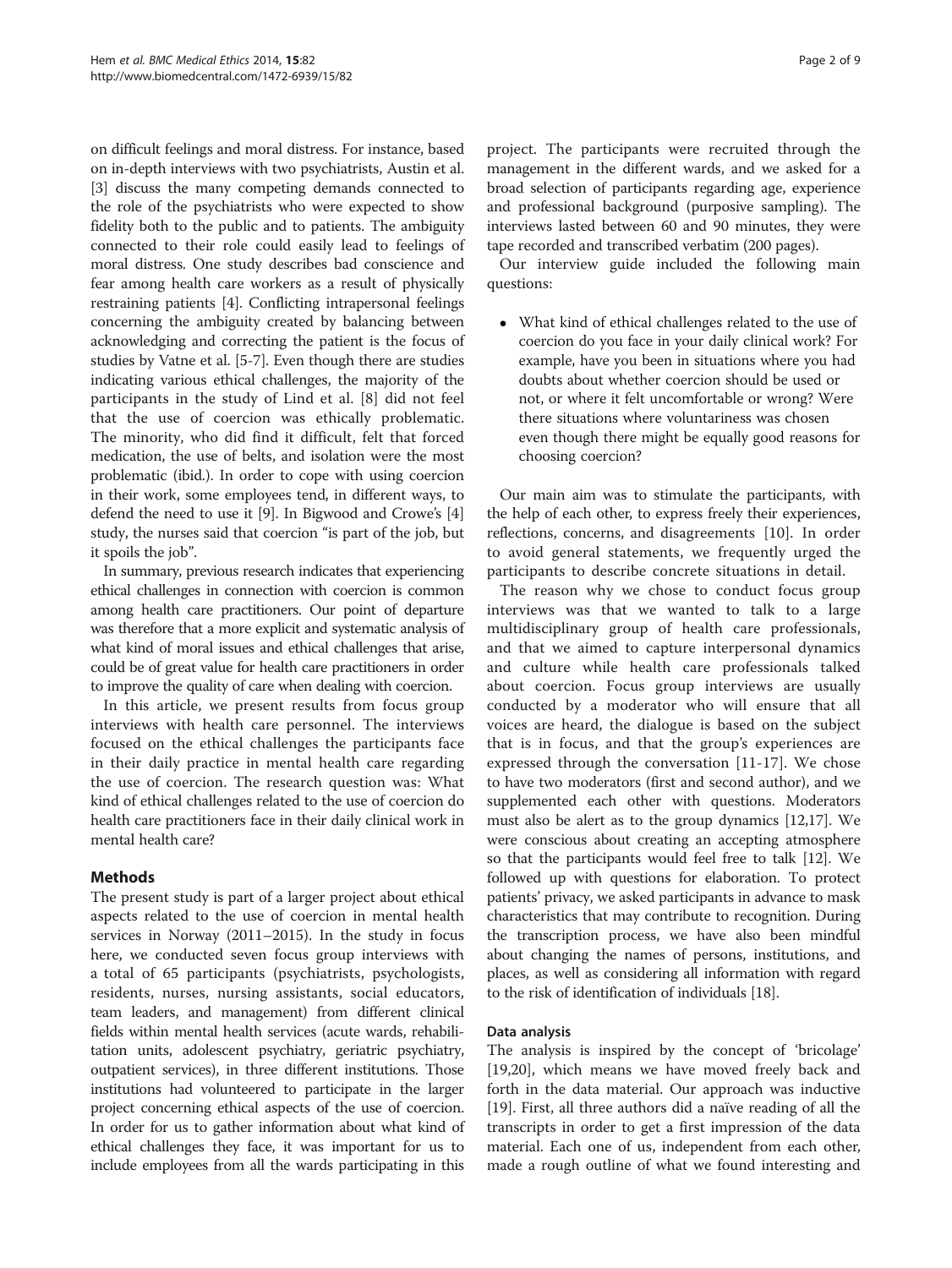on difficult feelings and moral distress. For instance, based on in-depth interviews with two psychiatrists, Austin et al. [[3\]](#page-7-0) discuss the many competing demands connected to the role of the psychiatrists who were expected to show fidelity both to the public and to patients. The ambiguity connected to their role could easily lead to feelings of moral distress. One study describes bad conscience and fear among health care workers as a result of physically restraining patients [[4\]](#page-7-0). Conflicting intrapersonal feelings concerning the ambiguity created by balancing between acknowledging and correcting the patient is the focus of studies by Vatne et al. [\[5-7](#page-7-0)]. Even though there are studies indicating various ethical challenges, the majority of the participants in the study of Lind et al. [[8\]](#page-7-0) did not feel that the use of coercion was ethically problematic. The minority, who did find it difficult, felt that forced medication, the use of belts, and isolation were the most problematic (ibid.). In order to cope with using coercion in their work, some employees tend, in different ways, to defend the need to use it [\[9](#page-7-0)]. In Bigwood and Crowe's [[4](#page-7-0)] study, the nurses said that coercion "is part of the job, but it spoils the job".

In summary, previous research indicates that experiencing ethical challenges in connection with coercion is common among health care practitioners. Our point of departure was therefore that a more explicit and systematic analysis of what kind of moral issues and ethical challenges that arise, could be of great value for health care practitioners in order to improve the quality of care when dealing with coercion.

In this article, we present results from focus group interviews with health care personnel. The interviews focused on the ethical challenges the participants face in their daily practice in mental health care regarding the use of coercion. The research question was: What kind of ethical challenges related to the use of coercion do health care practitioners face in their daily clinical work in mental health care?

#### Methods

The present study is part of a larger project about ethical aspects related to the use of coercion in mental health services in Norway (2011–2015). In the study in focus here, we conducted seven focus group interviews with a total of 65 participants (psychiatrists, psychologists, residents, nurses, nursing assistants, social educators, team leaders, and management) from different clinical fields within mental health services (acute wards, rehabilitation units, adolescent psychiatry, geriatric psychiatry, outpatient services), in three different institutions. Those institutions had volunteered to participate in the larger project concerning ethical aspects of the use of coercion. In order for us to gather information about what kind of ethical challenges they face, it was important for us to include employees from all the wards participating in this

project. The participants were recruited through the management in the different wards, and we asked for a broad selection of participants regarding age, experience and professional background (purposive sampling). The interviews lasted between 60 and 90 minutes, they were tape recorded and transcribed verbatim (200 pages).

Our interview guide included the following main questions:

 What kind of ethical challenges related to the use of coercion do you face in your daily clinical work? For example, have you been in situations where you had doubts about whether coercion should be used or not, or where it felt uncomfortable or wrong? Were there situations where voluntariness was chosen even though there might be equally good reasons for choosing coercion?

Our main aim was to stimulate the participants, with the help of each other, to express freely their experiences, reflections, concerns, and disagreements [\[10](#page-7-0)]. In order to avoid general statements, we frequently urged the participants to describe concrete situations in detail.

The reason why we chose to conduct focus group interviews was that we wanted to talk to a large multidisciplinary group of health care professionals, and that we aimed to capture interpersonal dynamics and culture while health care professionals talked about coercion. Focus group interviews are usually conducted by a moderator who will ensure that all voices are heard, the dialogue is based on the subject that is in focus, and that the group's experiences are expressed through the conversation [[11-17](#page-7-0)]. We chose to have two moderators (first and second author), and we supplemented each other with questions. Moderators must also be alert as to the group dynamics [\[12,17](#page-7-0)]. We were conscious about creating an accepting atmosphere so that the participants would feel free to talk [\[12](#page-7-0)]. We followed up with questions for elaboration. To protect patients' privacy, we asked participants in advance to mask characteristics that may contribute to recognition. During the transcription process, we have also been mindful about changing the names of persons, institutions, and places, as well as considering all information with regard to the risk of identification of individuals [[18](#page-7-0)].

#### Data analysis

The analysis is inspired by the concept of 'bricolage' [[19,20\]](#page-7-0), which means we have moved freely back and forth in the data material. Our approach was inductive [[19\]](#page-7-0). First, all three authors did a naïve reading of all the transcripts in order to get a first impression of the data material. Each one of us, independent from each other, made a rough outline of what we found interesting and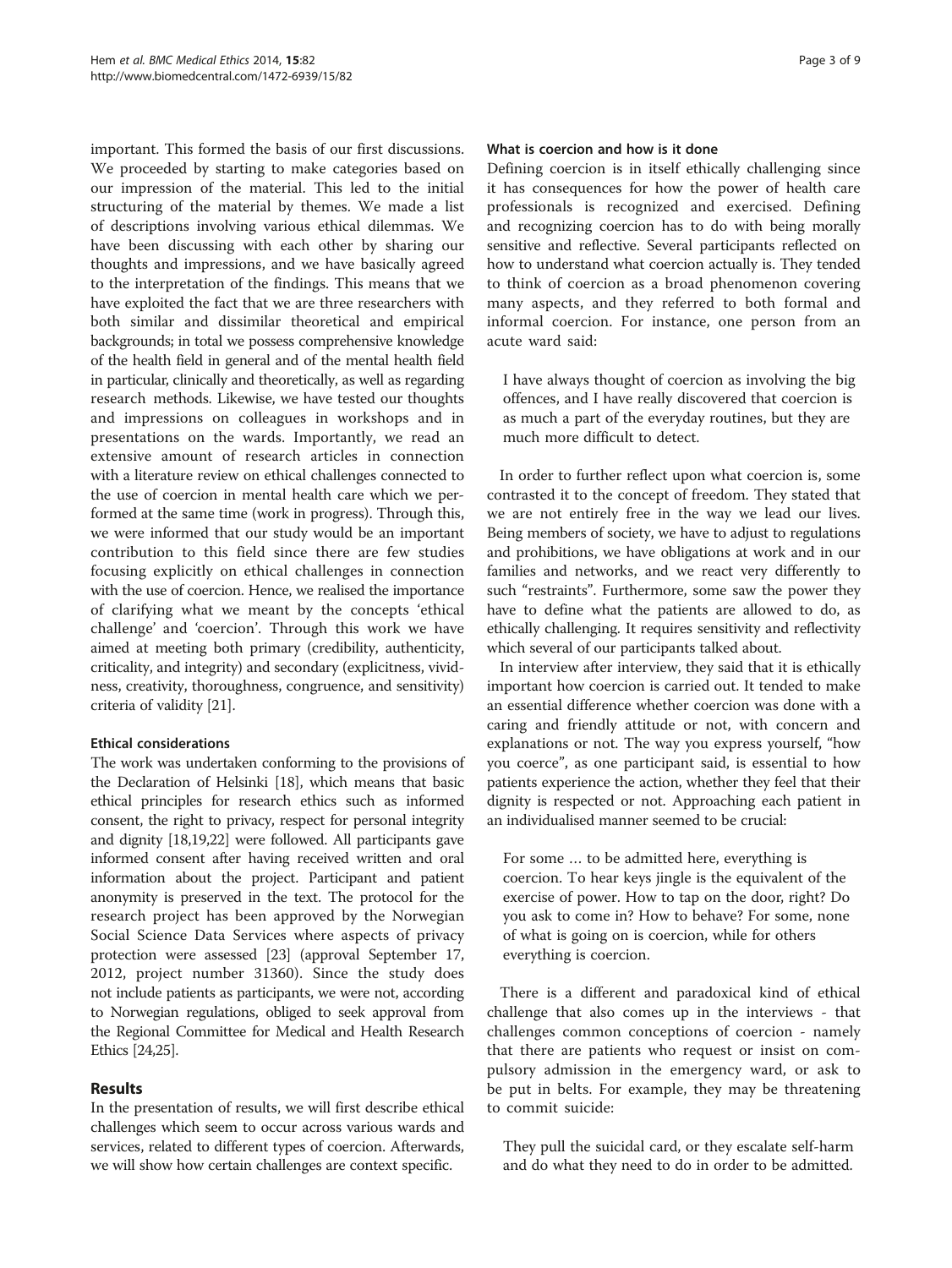important. This formed the basis of our first discussions. We proceeded by starting to make categories based on our impression of the material. This led to the initial structuring of the material by themes. We made a list of descriptions involving various ethical dilemmas. We have been discussing with each other by sharing our thoughts and impressions, and we have basically agreed to the interpretation of the findings. This means that we have exploited the fact that we are three researchers with both similar and dissimilar theoretical and empirical backgrounds; in total we possess comprehensive knowledge of the health field in general and of the mental health field in particular, clinically and theoretically, as well as regarding research methods. Likewise, we have tested our thoughts and impressions on colleagues in workshops and in presentations on the wards. Importantly, we read an extensive amount of research articles in connection with a literature review on ethical challenges connected to the use of coercion in mental health care which we performed at the same time (work in progress). Through this, we were informed that our study would be an important contribution to this field since there are few studies focusing explicitly on ethical challenges in connection with the use of coercion. Hence, we realised the importance of clarifying what we meant by the concepts 'ethical challenge' and 'coercion'. Through this work we have aimed at meeting both primary (credibility, authenticity, criticality, and integrity) and secondary (explicitness, vividness, creativity, thoroughness, congruence, and sensitivity) criteria of validity [[21](#page-7-0)].

#### Ethical considerations

The work was undertaken conforming to the provisions of the Declaration of Helsinki [\[18](#page-7-0)], which means that basic ethical principles for research ethics such as informed consent, the right to privacy, respect for personal integrity and dignity [\[18,19,22\]](#page-7-0) were followed. All participants gave informed consent after having received written and oral information about the project. Participant and patient anonymity is preserved in the text. The protocol for the research project has been approved by the Norwegian Social Science Data Services where aspects of privacy protection were assessed [\[23](#page-8-0)] (approval September 17, 2012, project number 31360). Since the study does not include patients as participants, we were not, according to Norwegian regulations, obliged to seek approval from the Regional Committee for Medical and Health Research Ethics [\[24,25\]](#page-8-0).

## Results

In the presentation of results, we will first describe ethical challenges which seem to occur across various wards and services, related to different types of coercion. Afterwards, we will show how certain challenges are context specific.

#### What is coercion and how is it done

Defining coercion is in itself ethically challenging since it has consequences for how the power of health care professionals is recognized and exercised. Defining and recognizing coercion has to do with being morally sensitive and reflective. Several participants reflected on how to understand what coercion actually is. They tended to think of coercion as a broad phenomenon covering many aspects, and they referred to both formal and informal coercion. For instance, one person from an acute ward said:

I have always thought of coercion as involving the big offences, and I have really discovered that coercion is as much a part of the everyday routines, but they are much more difficult to detect.

In order to further reflect upon what coercion is, some contrasted it to the concept of freedom. They stated that we are not entirely free in the way we lead our lives. Being members of society, we have to adjust to regulations and prohibitions, we have obligations at work and in our families and networks, and we react very differently to such "restraints". Furthermore, some saw the power they have to define what the patients are allowed to do, as ethically challenging. It requires sensitivity and reflectivity which several of our participants talked about.

In interview after interview, they said that it is ethically important how coercion is carried out. It tended to make an essential difference whether coercion was done with a caring and friendly attitude or not, with concern and explanations or not. The way you express yourself, "how you coerce", as one participant said, is essential to how patients experience the action, whether they feel that their dignity is respected or not. Approaching each patient in an individualised manner seemed to be crucial:

For some … to be admitted here, everything is coercion. To hear keys jingle is the equivalent of the exercise of power. How to tap on the door, right? Do you ask to come in? How to behave? For some, none of what is going on is coercion, while for others everything is coercion.

There is a different and paradoxical kind of ethical challenge that also comes up in the interviews - that challenges common conceptions of coercion - namely that there are patients who request or insist on compulsory admission in the emergency ward, or ask to be put in belts. For example, they may be threatening to commit suicide:

They pull the suicidal card, or they escalate self-harm and do what they need to do in order to be admitted.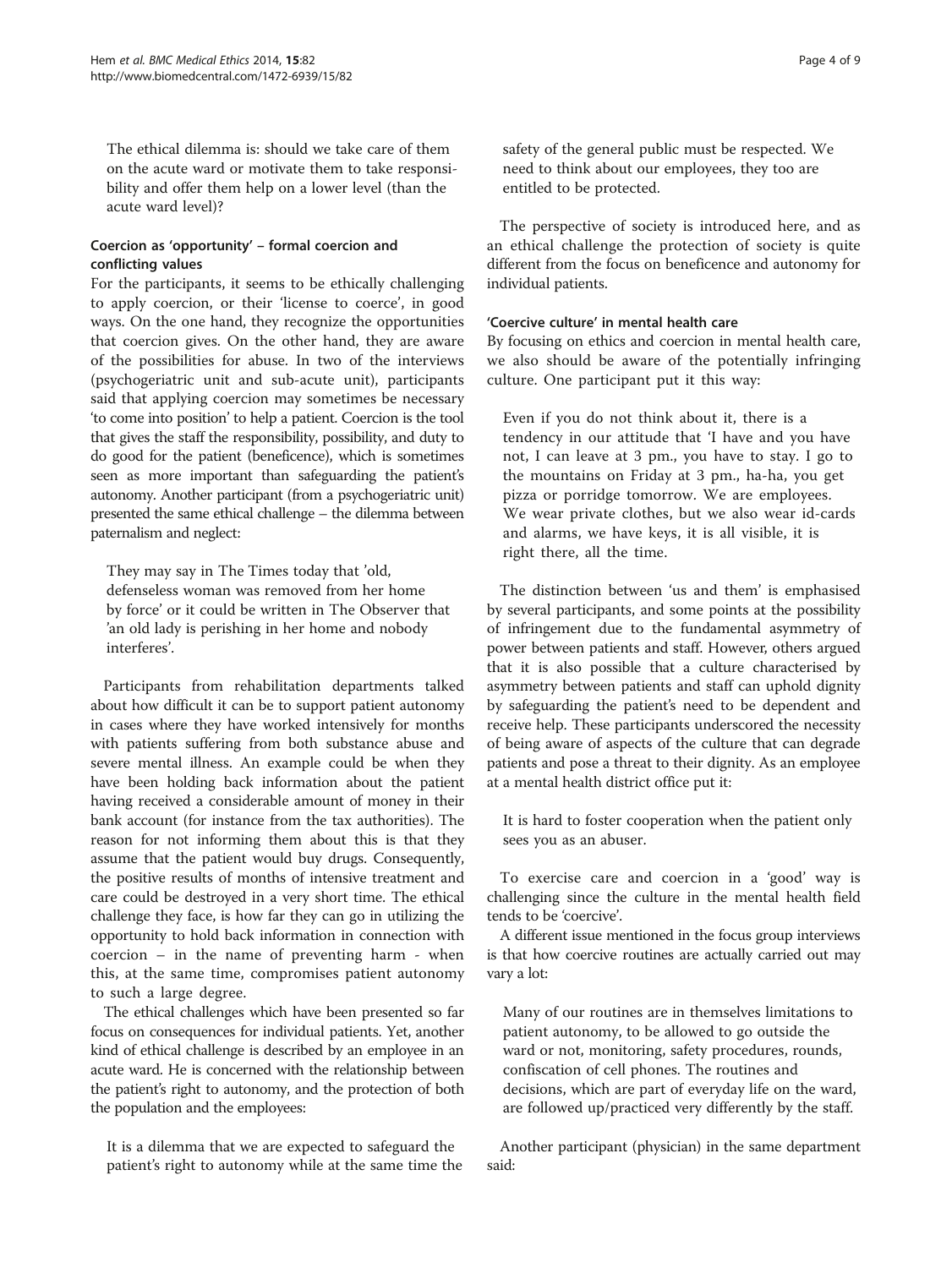The ethical dilemma is: should we take care of them on the acute ward or motivate them to take responsibility and offer them help on a lower level (than the acute ward level)?

## Coercion as 'opportunity' – formal coercion and conflicting values

For the participants, it seems to be ethically challenging to apply coercion, or their 'license to coerce', in good ways. On the one hand, they recognize the opportunities that coercion gives. On the other hand, they are aware of the possibilities for abuse. In two of the interviews (psychogeriatric unit and sub-acute unit), participants said that applying coercion may sometimes be necessary 'to come into position' to help a patient. Coercion is the tool that gives the staff the responsibility, possibility, and duty to do good for the patient (beneficence), which is sometimes seen as more important than safeguarding the patient's autonomy. Another participant (from a psychogeriatric unit) presented the same ethical challenge – the dilemma between paternalism and neglect:

They may say in The Times today that 'old, defenseless woman was removed from her home by force' or it could be written in The Observer that 'an old lady is perishing in her home and nobody interferes'.

Participants from rehabilitation departments talked about how difficult it can be to support patient autonomy in cases where they have worked intensively for months with patients suffering from both substance abuse and severe mental illness. An example could be when they have been holding back information about the patient having received a considerable amount of money in their bank account (for instance from the tax authorities). The reason for not informing them about this is that they assume that the patient would buy drugs. Consequently, the positive results of months of intensive treatment and care could be destroyed in a very short time. The ethical challenge they face, is how far they can go in utilizing the opportunity to hold back information in connection with coercion – in the name of preventing harm - when this, at the same time, compromises patient autonomy to such a large degree.

The ethical challenges which have been presented so far focus on consequences for individual patients. Yet, another kind of ethical challenge is described by an employee in an acute ward. He is concerned with the relationship between the patient's right to autonomy, and the protection of both the population and the employees:

It is a dilemma that we are expected to safeguard the patient's right to autonomy while at the same time the safety of the general public must be respected. We need to think about our employees, they too are entitled to be protected.

The perspective of society is introduced here, and as an ethical challenge the protection of society is quite different from the focus on beneficence and autonomy for individual patients.

#### 'Coercive culture' in mental health care

By focusing on ethics and coercion in mental health care, we also should be aware of the potentially infringing culture. One participant put it this way:

Even if you do not think about it, there is a tendency in our attitude that 'I have and you have not, I can leave at 3 pm., you have to stay. I go to the mountains on Friday at 3 pm., ha-ha, you get pizza or porridge tomorrow. We are employees. We wear private clothes, but we also wear id-cards and alarms, we have keys, it is all visible, it is right there, all the time.

The distinction between 'us and them' is emphasised by several participants, and some points at the possibility of infringement due to the fundamental asymmetry of power between patients and staff. However, others argued that it is also possible that a culture characterised by asymmetry between patients and staff can uphold dignity by safeguarding the patient's need to be dependent and receive help. These participants underscored the necessity of being aware of aspects of the culture that can degrade patients and pose a threat to their dignity. As an employee at a mental health district office put it:

It is hard to foster cooperation when the patient only sees you as an abuser.

To exercise care and coercion in a 'good' way is challenging since the culture in the mental health field tends to be 'coercive'.

A different issue mentioned in the focus group interviews is that how coercive routines are actually carried out may vary a lot:

Many of our routines are in themselves limitations to patient autonomy, to be allowed to go outside the ward or not, monitoring, safety procedures, rounds, confiscation of cell phones. The routines and decisions, which are part of everyday life on the ward, are followed up/practiced very differently by the staff.

Another participant (physician) in the same department said: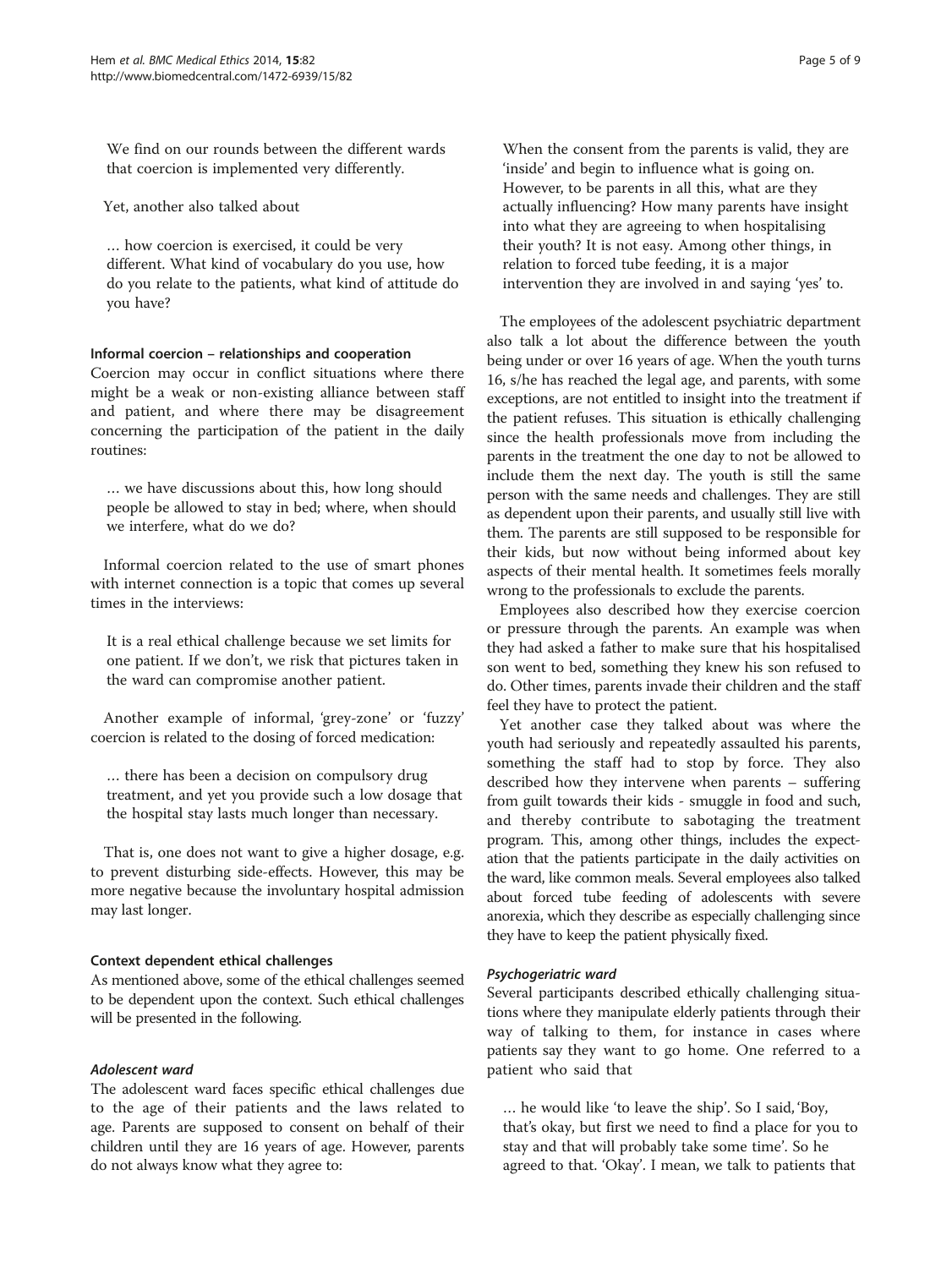We find on our rounds between the different wards that coercion is implemented very differently.

Yet, another also talked about

… how coercion is exercised, it could be very different. What kind of vocabulary do you use, how do you relate to the patients, what kind of attitude do you have?

#### Informal coercion – relationships and cooperation

Coercion may occur in conflict situations where there might be a weak or non-existing alliance between staff and patient, and where there may be disagreement concerning the participation of the patient in the daily routines:

… we have discussions about this, how long should people be allowed to stay in bed; where, when should we interfere, what do we do?

Informal coercion related to the use of smart phones with internet connection is a topic that comes up several times in the interviews:

It is a real ethical challenge because we set limits for one patient. If we don't, we risk that pictures taken in the ward can compromise another patient.

Another example of informal, 'grey-zone' or 'fuzzy' coercion is related to the dosing of forced medication:

… there has been a decision on compulsory drug treatment, and yet you provide such a low dosage that the hospital stay lasts much longer than necessary.

That is, one does not want to give a higher dosage, e.g. to prevent disturbing side-effects. However, this may be more negative because the involuntary hospital admission may last longer.

#### Context dependent ethical challenges

As mentioned above, some of the ethical challenges seemed to be dependent upon the context. Such ethical challenges will be presented in the following.

#### Adolescent ward

The adolescent ward faces specific ethical challenges due to the age of their patients and the laws related to age. Parents are supposed to consent on behalf of their children until they are 16 years of age. However, parents do not always know what they agree to:

When the consent from the parents is valid, they are 'inside' and begin to influence what is going on. However, to be parents in all this, what are they actually influencing? How many parents have insight into what they are agreeing to when hospitalising their youth? It is not easy. Among other things, in relation to forced tube feeding, it is a major intervention they are involved in and saying 'yes' to.

The employees of the adolescent psychiatric department also talk a lot about the difference between the youth being under or over 16 years of age. When the youth turns 16, s/he has reached the legal age, and parents, with some exceptions, are not entitled to insight into the treatment if the patient refuses. This situation is ethically challenging since the health professionals move from including the parents in the treatment the one day to not be allowed to include them the next day. The youth is still the same person with the same needs and challenges. They are still as dependent upon their parents, and usually still live with them. The parents are still supposed to be responsible for their kids, but now without being informed about key aspects of their mental health. It sometimes feels morally wrong to the professionals to exclude the parents.

Employees also described how they exercise coercion or pressure through the parents. An example was when they had asked a father to make sure that his hospitalised son went to bed, something they knew his son refused to do. Other times, parents invade their children and the staff feel they have to protect the patient.

Yet another case they talked about was where the youth had seriously and repeatedly assaulted his parents, something the staff had to stop by force. They also described how they intervene when parents – suffering from guilt towards their kids - smuggle in food and such, and thereby contribute to sabotaging the treatment program. This, among other things, includes the expectation that the patients participate in the daily activities on the ward, like common meals. Several employees also talked about forced tube feeding of adolescents with severe anorexia, which they describe as especially challenging since they have to keep the patient physically fixed.

#### Psychogeriatric ward

Several participants described ethically challenging situations where they manipulate elderly patients through their way of talking to them, for instance in cases where patients say they want to go home. One referred to a patient who said that

… he would like 'to leave the ship'. So I said, 'Boy, that's okay, but first we need to find a place for you to stay and that will probably take some time'. So he agreed to that. 'Okay'. I mean, we talk to patients that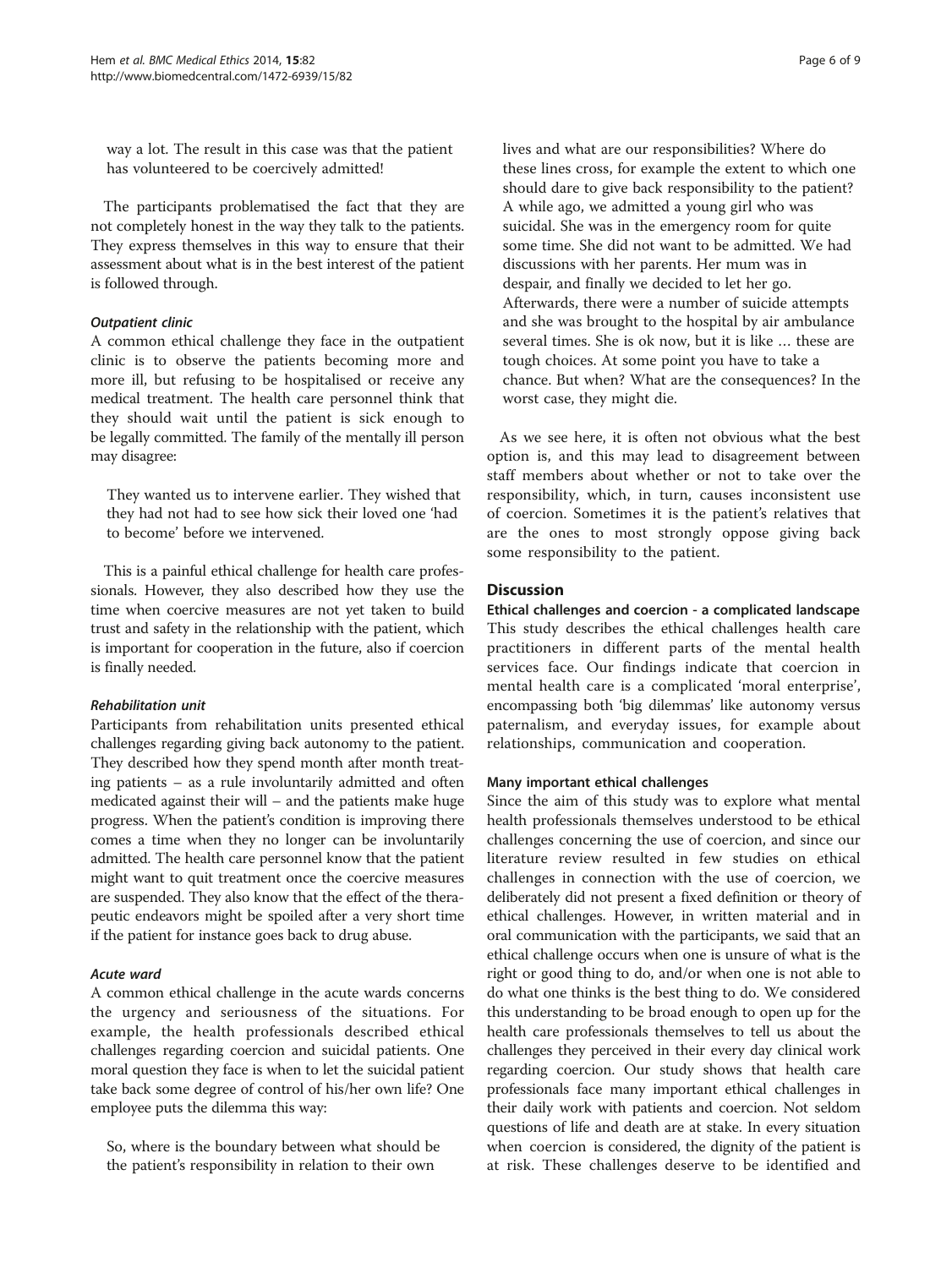way a lot. The result in this case was that the patient has volunteered to be coercively admitted!

The participants problematised the fact that they are not completely honest in the way they talk to the patients. They express themselves in this way to ensure that their assessment about what is in the best interest of the patient is followed through.

#### Outpatient clinic

A common ethical challenge they face in the outpatient clinic is to observe the patients becoming more and more ill, but refusing to be hospitalised or receive any medical treatment. The health care personnel think that they should wait until the patient is sick enough to be legally committed. The family of the mentally ill person may disagree:

They wanted us to intervene earlier. They wished that they had not had to see how sick their loved one 'had to become' before we intervened.

This is a painful ethical challenge for health care professionals. However, they also described how they use the time when coercive measures are not yet taken to build trust and safety in the relationship with the patient, which is important for cooperation in the future, also if coercion is finally needed.

#### Rehabilitation unit

Participants from rehabilitation units presented ethical challenges regarding giving back autonomy to the patient. They described how they spend month after month treating patients – as a rule involuntarily admitted and often medicated against their will – and the patients make huge progress. When the patient's condition is improving there comes a time when they no longer can be involuntarily admitted. The health care personnel know that the patient might want to quit treatment once the coercive measures are suspended. They also know that the effect of the therapeutic endeavors might be spoiled after a very short time if the patient for instance goes back to drug abuse.

#### Acute ward

A common ethical challenge in the acute wards concerns the urgency and seriousness of the situations. For example, the health professionals described ethical challenges regarding coercion and suicidal patients. One moral question they face is when to let the suicidal patient take back some degree of control of his/her own life? One employee puts the dilemma this way:

So, where is the boundary between what should be the patient's responsibility in relation to their own

lives and what are our responsibilities? Where do these lines cross, for example the extent to which one should dare to give back responsibility to the patient? A while ago, we admitted a young girl who was suicidal. She was in the emergency room for quite some time. She did not want to be admitted. We had discussions with her parents. Her mum was in despair, and finally we decided to let her go. Afterwards, there were a number of suicide attempts and she was brought to the hospital by air ambulance several times. She is ok now, but it is like … these are tough choices. At some point you have to take a chance. But when? What are the consequences? In the worst case, they might die.

As we see here, it is often not obvious what the best option is, and this may lead to disagreement between staff members about whether or not to take over the responsibility, which, in turn, causes inconsistent use of coercion. Sometimes it is the patient's relatives that are the ones to most strongly oppose giving back some responsibility to the patient.

#### **Discussion**

Ethical challenges and coercion - a complicated landscape This study describes the ethical challenges health care practitioners in different parts of the mental health services face. Our findings indicate that coercion in mental health care is a complicated 'moral enterprise', encompassing both 'big dilemmas' like autonomy versus paternalism, and everyday issues, for example about relationships, communication and cooperation.

#### Many important ethical challenges

Since the aim of this study was to explore what mental health professionals themselves understood to be ethical challenges concerning the use of coercion, and since our literature review resulted in few studies on ethical challenges in connection with the use of coercion, we deliberately did not present a fixed definition or theory of ethical challenges. However, in written material and in oral communication with the participants, we said that an ethical challenge occurs when one is unsure of what is the right or good thing to do, and/or when one is not able to do what one thinks is the best thing to do. We considered this understanding to be broad enough to open up for the health care professionals themselves to tell us about the challenges they perceived in their every day clinical work regarding coercion. Our study shows that health care professionals face many important ethical challenges in their daily work with patients and coercion. Not seldom questions of life and death are at stake. In every situation when coercion is considered, the dignity of the patient is at risk. These challenges deserve to be identified and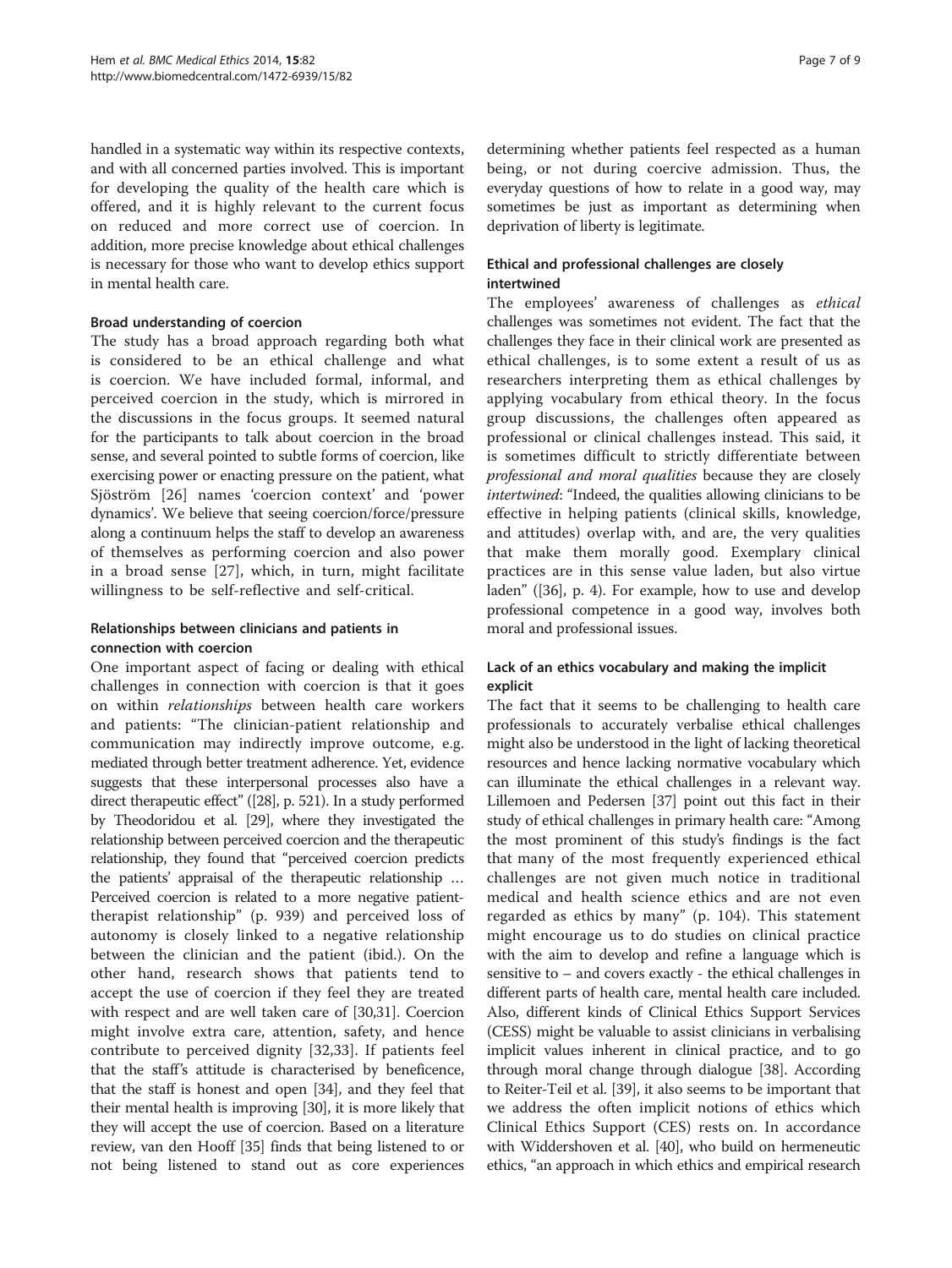handled in a systematic way within its respective contexts, and with all concerned parties involved. This is important for developing the quality of the health care which is offered, and it is highly relevant to the current focus on reduced and more correct use of coercion. In addition, more precise knowledge about ethical challenges is necessary for those who want to develop ethics support in mental health care.

#### Broad understanding of coercion

The study has a broad approach regarding both what is considered to be an ethical challenge and what is coercion. We have included formal, informal, and perceived coercion in the study, which is mirrored in the discussions in the focus groups. It seemed natural for the participants to talk about coercion in the broad sense, and several pointed to subtle forms of coercion, like exercising power or enacting pressure on the patient, what Sjöström [[26](#page-8-0)] names 'coercion context' and 'power dynamics'. We believe that seeing coercion/force/pressure along a continuum helps the staff to develop an awareness of themselves as performing coercion and also power in a broad sense [[27](#page-8-0)], which, in turn, might facilitate willingness to be self-reflective and self-critical.

#### Relationships between clinicians and patients in connection with coercion

One important aspect of facing or dealing with ethical challenges in connection with coercion is that it goes on within relationships between health care workers and patients: "The clinician-patient relationship and communication may indirectly improve outcome, e.g. mediated through better treatment adherence. Yet, evidence suggests that these interpersonal processes also have a direct therapeutic effect" ([[28\]](#page-8-0), p. 521). In a study performed by Theodoridou et al. [[29](#page-8-0)], where they investigated the relationship between perceived coercion and the therapeutic relationship, they found that "perceived coercion predicts the patients' appraisal of the therapeutic relationship … Perceived coercion is related to a more negative patienttherapist relationship" (p. 939) and perceived loss of autonomy is closely linked to a negative relationship between the clinician and the patient (ibid.). On the other hand, research shows that patients tend to accept the use of coercion if they feel they are treated with respect and are well taken care of [[30,31](#page-8-0)]. Coercion might involve extra care, attention, safety, and hence contribute to perceived dignity [[32,33\]](#page-8-0). If patients feel that the staff's attitude is characterised by beneficence, that the staff is honest and open [\[34\]](#page-8-0), and they feel that their mental health is improving [\[30\]](#page-8-0), it is more likely that they will accept the use of coercion. Based on a literature review, van den Hooff [\[35\]](#page-8-0) finds that being listened to or not being listened to stand out as core experiences

determining whether patients feel respected as a human being, or not during coercive admission. Thus, the everyday questions of how to relate in a good way, may sometimes be just as important as determining when deprivation of liberty is legitimate.

## Ethical and professional challenges are closely intertwined

The employees' awareness of challenges as ethical challenges was sometimes not evident. The fact that the challenges they face in their clinical work are presented as ethical challenges, is to some extent a result of us as researchers interpreting them as ethical challenges by applying vocabulary from ethical theory. In the focus group discussions, the challenges often appeared as professional or clinical challenges instead. This said, it is sometimes difficult to strictly differentiate between professional and moral qualities because they are closely intertwined: "Indeed, the qualities allowing clinicians to be effective in helping patients (clinical skills, knowledge, and attitudes) overlap with, and are, the very qualities that make them morally good. Exemplary clinical practices are in this sense value laden, but also virtue laden" ([[36](#page-8-0)], p. 4). For example, how to use and develop professional competence in a good way, involves both moral and professional issues.

## Lack of an ethics vocabulary and making the implicit explicit

The fact that it seems to be challenging to health care professionals to accurately verbalise ethical challenges might also be understood in the light of lacking theoretical resources and hence lacking normative vocabulary which can illuminate the ethical challenges in a relevant way. Lillemoen and Pedersen [\[37\]](#page-8-0) point out this fact in their study of ethical challenges in primary health care: "Among the most prominent of this study's findings is the fact that many of the most frequently experienced ethical challenges are not given much notice in traditional medical and health science ethics and are not even regarded as ethics by many" (p. 104). This statement might encourage us to do studies on clinical practice with the aim to develop and refine a language which is sensitive to – and covers exactly - the ethical challenges in different parts of health care, mental health care included. Also, different kinds of Clinical Ethics Support Services (CESS) might be valuable to assist clinicians in verbalising implicit values inherent in clinical practice, and to go through moral change through dialogue [\[38\]](#page-8-0). According to Reiter-Teil et al. [[39](#page-8-0)], it also seems to be important that we address the often implicit notions of ethics which Clinical Ethics Support (CES) rests on. In accordance with Widdershoven et al. [\[40](#page-8-0)], who build on hermeneutic ethics, "an approach in which ethics and empirical research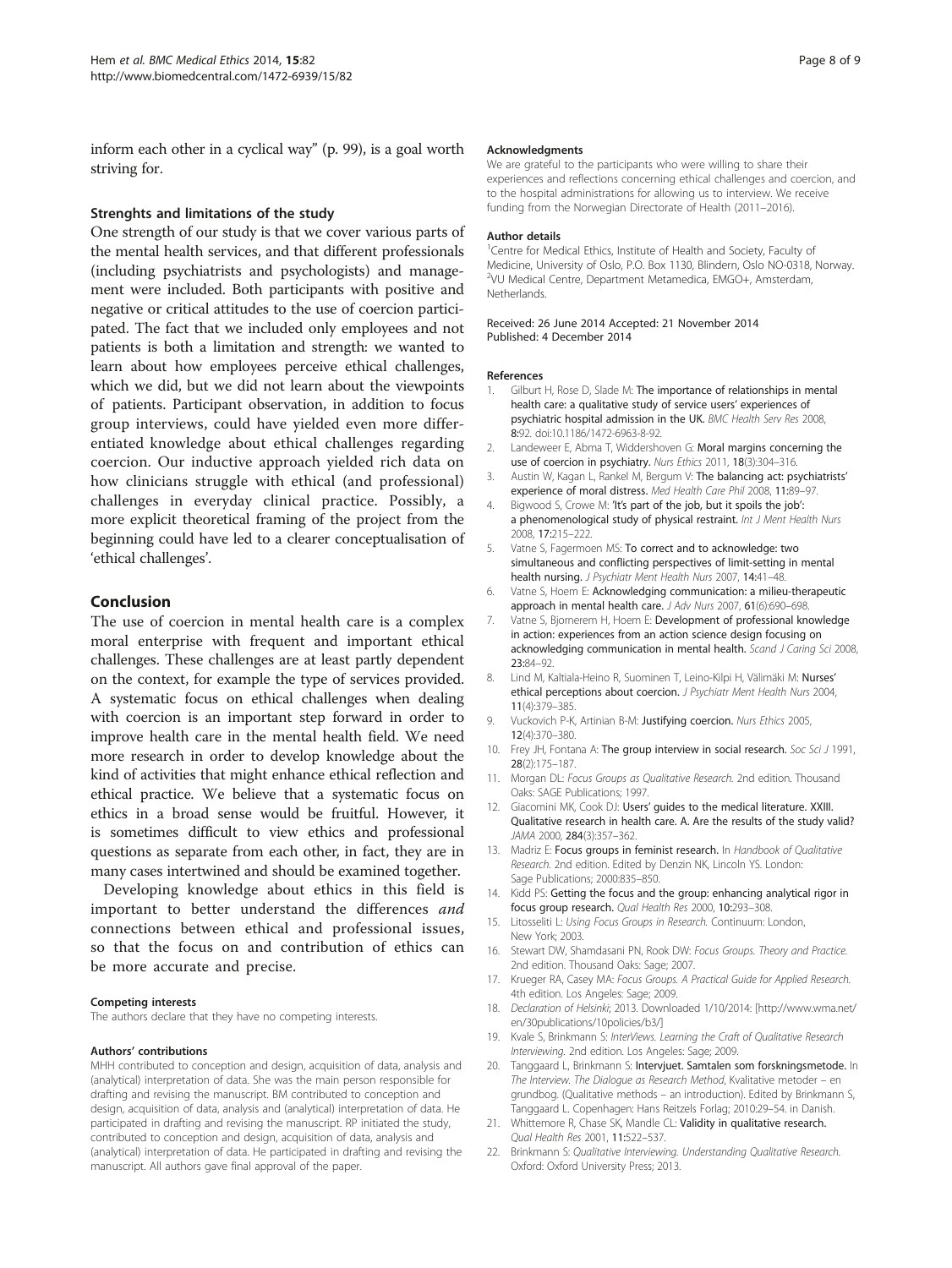<span id="page-7-0"></span>inform each other in a cyclical way" (p. 99), is a goal worth striving for.

#### Strenghts and limitations of the study

One strength of our study is that we cover various parts of the mental health services, and that different professionals (including psychiatrists and psychologists) and management were included. Both participants with positive and negative or critical attitudes to the use of coercion participated. The fact that we included only employees and not patients is both a limitation and strength: we wanted to learn about how employees perceive ethical challenges, which we did, but we did not learn about the viewpoints of patients. Participant observation, in addition to focus group interviews, could have yielded even more differentiated knowledge about ethical challenges regarding coercion. Our inductive approach yielded rich data on how clinicians struggle with ethical (and professional) challenges in everyday clinical practice. Possibly, a more explicit theoretical framing of the project from the beginning could have led to a clearer conceptualisation of 'ethical challenges'.

#### Conclusion

The use of coercion in mental health care is a complex moral enterprise with frequent and important ethical challenges. These challenges are at least partly dependent on the context, for example the type of services provided. A systematic focus on ethical challenges when dealing with coercion is an important step forward in order to improve health care in the mental health field. We need more research in order to develop knowledge about the kind of activities that might enhance ethical reflection and ethical practice. We believe that a systematic focus on ethics in a broad sense would be fruitful. However, it is sometimes difficult to view ethics and professional questions as separate from each other, in fact, they are in many cases intertwined and should be examined together.

Developing knowledge about ethics in this field is important to better understand the differences and connections between ethical and professional issues, so that the focus on and contribution of ethics can be more accurate and precise.

#### Competing interests

The authors declare that they have no competing interests.

#### Authors' contributions

MHH contributed to conception and design, acquisition of data, analysis and (analytical) interpretation of data. She was the main person responsible for drafting and revising the manuscript. BM contributed to conception and design, acquisition of data, analysis and (analytical) interpretation of data. He participated in drafting and revising the manuscript. RP initiated the study, contributed to conception and design, acquisition of data, analysis and (analytical) interpretation of data. He participated in drafting and revising the manuscript. All authors gave final approval of the paper.

#### Acknowledgments

We are grateful to the participants who were willing to share their experiences and reflections concerning ethical challenges and coercion, and to the hospital administrations for allowing us to interview. We receive funding from the Norwegian Directorate of Health (2011–2016).

#### Author details

<sup>1</sup> Centre for Medical Ethics, Institute of Health and Society, Faculty of Medicine, University of Oslo, P.O. Box 1130, Blindern, Oslo NO-0318, Norway. <sup>2</sup>VU Medical Centre, Department Metamedica, EMGO+, Amsterdam, **Netherlands** 

Received: 26 June 2014 Accepted: 21 November 2014 Published: 4 December 2014

#### References

- 1. Gilburt H, Rose D, Slade M: The importance of relationships in mental health care: a qualitative study of service users' experiences of psychiatric hospital admission in the UK. BMC Health Serv Res 2008, 8:92. doi:10.1186/1472-6963-8-92.
- Landeweer E, Abma T, Widdershoven G: Moral margins concerning the use of coercion in psychiatry. Nurs Ethics 2011, 18(3):304–316.
- 3. Austin W, Kagan L, Rankel M, Bergum V: The balancing act: psychiatrists' experience of moral distress. Med Health Care Phil 2008, 11:89–97.
- 4. Bigwood S, Crowe M: 'It's part of the job, but it spoils the job': a phenomenological study of physical restraint. Int J Ment Health Nurs 2008, 17:215–222.
- 5. Vatne S, Fagermoen MS: To correct and to acknowledge: two simultaneous and conflicting perspectives of limit-setting in mental health nursing. J Psychiatr Ment Health Nurs 2007, 14:41–48.
- 6. Vatne S, Hoem E: Acknowledging communication: a milieu-therapeutic approach in mental health care. J Adv Nurs 2007, 61(6):690-698.
- 7. Vatne S, Bjornerem H, Hoem E: Development of professional knowledge in action: experiences from an action science design focusing on acknowledging communication in mental health. Scand J Caring Sci 2008, 23:84–92.
- 8. Lind M, Kaltiala-Heino R, Suominen T, Leino-Kilpi H, Välimäki M: Nurses' ethical perceptions about coercion. J Psychiatr Ment Health Nurs 2004, 11(4):379–385.
- 9. Vuckovich P-K, Artinian B-M: Justifying coercion. Nurs Ethics 2005, 12(4):370–380.
- 10. Frey JH, Fontana A: The group interview in social research. Soc Sci J 1991, 28(2):175–187.
- 11. Morgan DL: Focus Groups as Qualitative Research. 2nd edition. Thousand Oaks: SAGE Publications; 1997.
- 12. Giacomini MK, Cook DJ: Users' guides to the medical literature. XXIII. Qualitative research in health care. A. Are the results of the study valid? JAMA 2000, 284(3):357-362
- 13. Madriz E: Focus groups in feminist research. In Handbook of Qualitative Research. 2nd edition. Edited by Denzin NK, Lincoln YS. London: Sage Publications; 2000:835–850.
- 14. Kidd PS: Getting the focus and the group: enhancing analytical rigor in focus group research. Qual Health Res 2000, 10:293–308.
- 15. Litosseliti L: Using Focus Groups in Research. Continuum: London, New York; 2003.
- 16. Stewart DW, Shamdasani PN, Rook DW: Focus Groups. Theory and Practice. 2nd edition. Thousand Oaks: Sage; 2007.
- 17. Krueger RA, Casey MA: Focus Groups. A Practical Guide for Applied Research. 4th edition. Los Angeles: Sage; 2009.
- 18. Declaration of Helsinki; 2013. Downloaded 1/10/2014: [\[http://www.wma.net/](http://www.wma.net/en/30publications/10policies/b3/) [en/30publications/10policies/b3/](http://www.wma.net/en/30publications/10policies/b3/)]
- 19. Kvale S, Brinkmann S: InterViews. Learning the Craft of Qualitative Research Interviewing. 2nd edition. Los Angeles: Sage; 2009.
- 20. Tanggaard L, Brinkmann S: Intervjuet. Samtalen som forskningsmetode. In The Interview. The Dialogue as Research Method, Kvalitative metoder – en grundbog. (Qualitative methods – an introduction). Edited by Brinkmann S, Tanggaard L. Copenhagen: Hans Reitzels Forlag; 2010:29–54. in Danish.
- 21. Whittemore R, Chase SK, Mandle CL: Validity in qualitative research. Qual Health Res 2001, 11:522–537.
- 22. Brinkmann S: Qualitative Interviewing. Understanding Qualitative Research. Oxford: Oxford University Press; 2013.